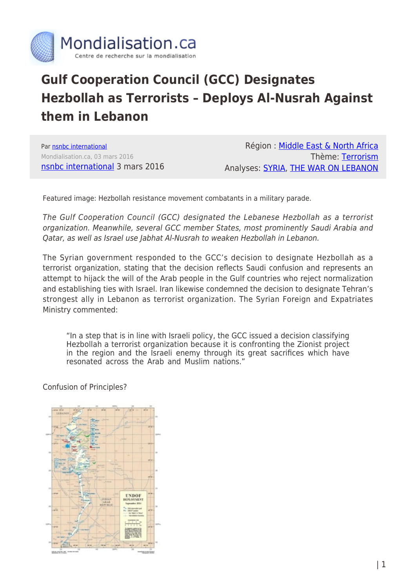

## **Gulf Cooperation Council (GCC) Designates Hezbollah as Terrorists – Deploys Al-Nusrah Against them in Lebanon**

Par [nsnbc international](https://www.mondialisation.ca/author/nsnbc-international) Mondialisation.ca, 03 mars 2016 [nsnbc international](http://nsnbc.me/2016/03/03/gcc-designates-hezbollah-as-terrorists-deploys-al-nusrah-against-them-in-lebanon/) 3 mars 2016

Région : [Middle East & North Africa](https://www.mondialisation.ca/region/middle-east) Thème: [Terrorism](https://www.mondialisation.ca/theme/9-11-war-on-terrorism) Analyses: [SYRIA](https://www.mondialisation.ca/indepthreport/syria-nato-s-next-war), [THE WAR ON LEBANON](https://www.mondialisation.ca/indepthreport/the-war-on-lebanon)

Featured image: Hezbollah resistance movement combatants in a military parade.

The Gulf Cooperation Council (GCC) designated the Lebanese Hezbollah as a terrorist organization. Meanwhile, several GCC member States, most prominently Saudi Arabia and Qatar, as well as Israel use Jabhat Al-Nusrah to weaken Hezbollah in Lebanon.

The Syrian government responded to the GCC's decision to designate Hezbollah as a terrorist organization, stating that the decision reflects Saudi confusion and represents an attempt to hijack the will of the Arab people in the Gulf countries who reject normalization and establishing ties with Israel. Iran likewise condemned the decision to designate Tehran's strongest ally in Lebanon as terrorist organization. The Syrian Foreign and Expatriates Ministry commented:

"In a step that is in line with Israeli policy, the GCC issued a decision classifying Hezbollah a terrorist organization because it is confronting the Zionist project in the region and the Israeli enemy through its great sacrifices which have resonated across the Arab and Muslim nations."

Confusion of Principles?

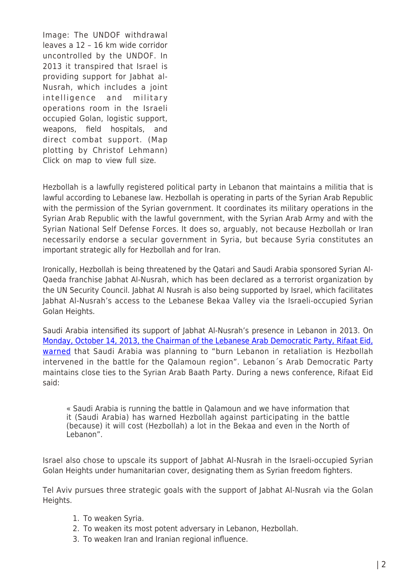Image: The UNDOF withdrawal leaves a 12 – 16 km wide corridor uncontrolled by the UNDOF. In 2013 it transpired that Israel is providing support for Jabhat al-Nusrah, which includes a joint intelligence and military operations room in the Israeli occupied Golan, logistic support, weapons, field hospitals, and direct combat support. (Map plotting by Christof Lehmann) Click on map to view full size.

Hezbollah is a lawfully registered political party in Lebanon that maintains a militia that is lawful according to Lebanese law. Hezbollah is operating in parts of the Syrian Arab Republic with the permission of the Syrian government. It coordinates its military operations in the Syrian Arab Republic with the lawful government, with the Syrian Arab Army and with the Syrian National Self Defense Forces. It does so, arguably, not because Hezbollah or Iran necessarily endorse a secular government in Syria, but because Syria constitutes an important strategic ally for Hezbollah and for Iran.

Ironically, Hezbollah is being threatened by the Qatari and Saudi Arabia sponsored Syrian Al-Qaeda franchise Jabhat Al-Nusrah, which has been declared as a terrorist organization by the UN Security Council. Jabhat Al Nusrah is also being supported by Israel, which facilitates Jabhat Al-Nusrah's access to the Lebanese Bekaa Valley via the Israeli-occupied Syrian Golan Heights.

Saudi Arabia intensified its support of Jabhat Al-Nusrah's presence in Lebanon in 2013. On [Monday, October 14, 2013, the Chairman of the Lebanese Arab Democratic Party, Rifaat Eid,](http://nsnbc.me/2013/10/21/major-battlefront-in-syria-war-to-open-in-qalamoun-region/) [warned](http://nsnbc.me/2013/10/21/major-battlefront-in-syria-war-to-open-in-qalamoun-region/) that Saudi Arabia was planning to "burn Lebanon in retaliation is Hezbollah intervened in the battle for the Qalamoun region". Lebanon´s Arab Democratic Party maintains close ties to the Syrian Arab Baath Party. During a news conference, Rifaat Eid said:

« Saudi Arabia is running the battle in Qalamoun and we have information that it (Saudi Arabia) has warned Hezbollah against participating in the battle (because) it will cost (Hezbollah) a lot in the Bekaa and even in the North of Lebanon".

Israel also chose to upscale its support of Jabhat Al-Nusrah in the Israeli-occupied Syrian Golan Heights under humanitarian cover, designating them as Syrian freedom fighters.

Tel Aviv pursues three strategic goals with the support of Jabhat Al-Nusrah via the Golan Heights.

- 1. To weaken Syria.
- 2. To weaken its most potent adversary in Lebanon, Hezbollah.
- 3. To weaken Iran and Iranian regional influence.